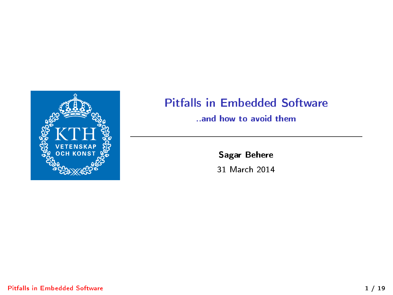

### Pitfalls in Embedded Software

#### ..and how to avoid them

Sagar Behere

<span id="page-0-0"></span>31 March 2014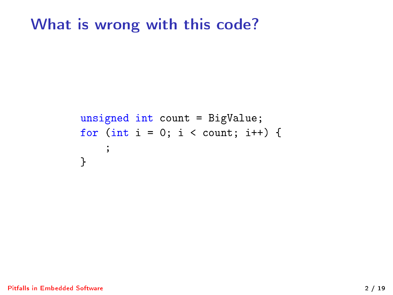## What is wrong with this code?

```
unsigned int count = BigValue;
for (int i = 0; i < count; i++) {
    ;
}
```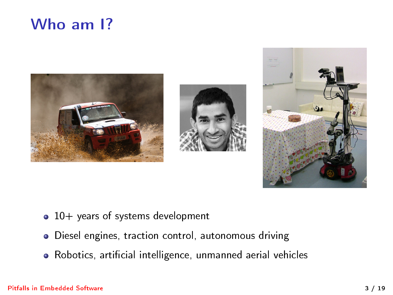# Who am 1?







- 10+ years of systems development
- Diesel engines, traction control, autonomous driving
- · Robotics, artificial intelligence, unmanned aerial vehicles

#### [Pitfalls in Embedded Software](#page-0-0) 3 / 19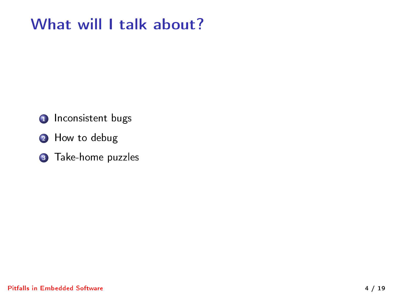# What will I talk about?

- **1** Inconsistent bugs
- **2** How to debug
- **3** Take-home puzzles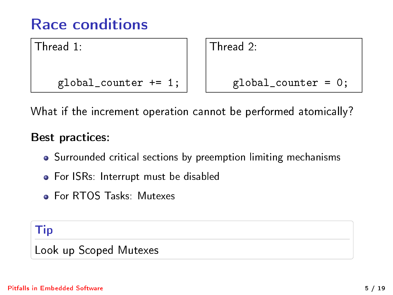# Race conditions

Thread 1:

global\_counter += 1;

Thread 2:

global\_counter = 0;

What if the increment operation cannot be performed atomically?

### Best practices:

- Surrounded critical sections by preemption limiting mechanisms
- **•** For ISRs: Interrupt must be disabled
- **Property Contracts: Contracts**

### Tip

Look up Scoped Mutexes

#### [Pitfalls in Embedded Software](#page-0-0) 5 / 19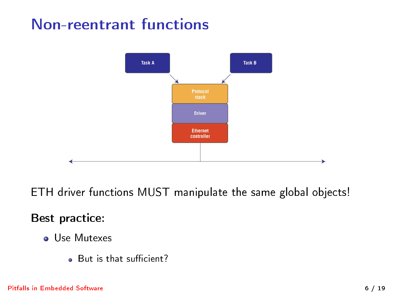# Non-reentrant functions



ETH driver functions MUST manipulate the same global objects!

### Best practice:

- Use Mutexes
	- . But is that sufficient?

#### [Pitfalls in Embedded Software](#page-0-0) 6 / 19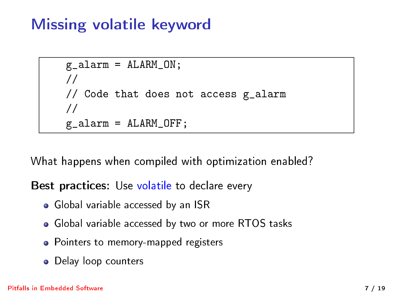# Missing volatile keyword

```
g_{a}alarm = ALARM_0N;
//
// Code that does not access g_alarm
//
g_alarm = ALARM_OFF;
```
What happens when compiled with optimization enabled?

Best practices: Use volatile to declare every

- Global variable accessed by an ISR
- Global variable accessed by two or more RTOS tasks
- Pointers to memory-mapped registers
- Delay loop counters

#### [Pitfalls in Embedded Software](#page-0-0) 7 / 19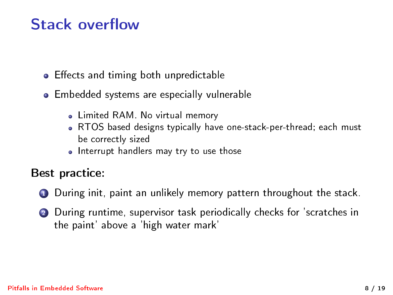## Stack overflow

- Effects and timing both unpredictable
- **•** Embedded systems are especially vulnerable
	- Limited RAM. No virtual memory
	- RTOS based designs typically have one-stack-per-thread; each must be correctly sized
	- Interrupt handlers may try to use those

Best practice:

- **1** During init, paint an unlikely memory pattern throughout the stack.
- <sup>2</sup> During runtime, supervisor task periodically checks for 'scratches in the paint' above a 'high water mark'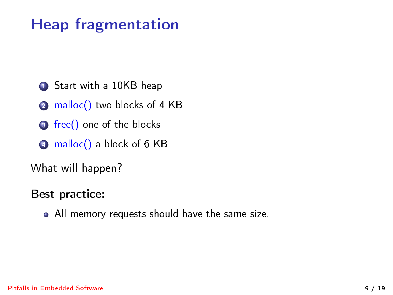# Heap fragmentation

- **1** Start with a 10KB heap
- 2 malloc() two blocks of 4 KB
- **3** free() one of the blocks
- **4** malloc() a block of 6 KB

What will happen?

### Best practice:

All memory requests should have the same size.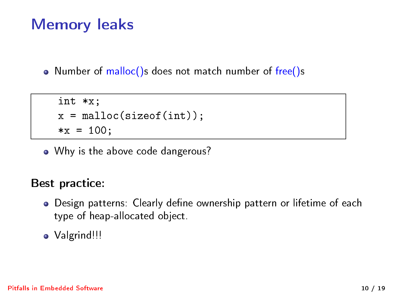# Memory leaks

• Number of malloc()s does not match number of free()s

```
int *x;
x = malloc(sizeof(int));
*x = 100:
```
• Why is the above code dangerous?

### Best practice:

- Design patterns: Clearly define ownership pattern or lifetime of each type of heap-allocated object.
- Valgrind!!!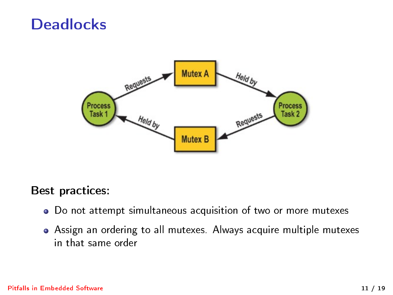### **Deadlocks**



Best practices:

- Do not attempt simultaneous acquisition of two or more mutexes
- Assign an ordering to all mutexes. Always acquire multiple mutexes in that same order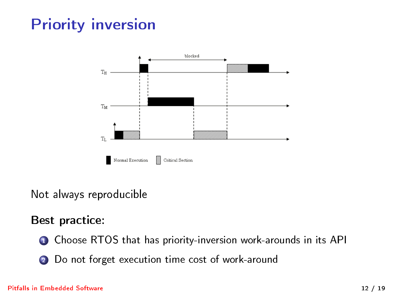# Priority inversion



### Not always reproducible

### Best practice:

- **1** Choose RTOS that has priority-inversion work-arounds in its API
- 2 Do not forget execution time cost of work-around

#### [Pitfalls in Embedded Software](#page-0-0) 12 / 19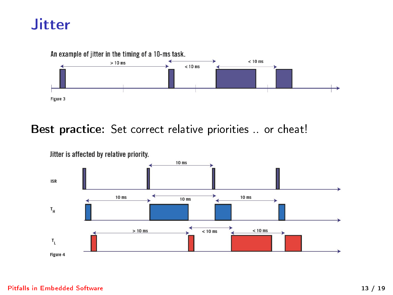## **Jitter**



### Best practice: Set correct relative priorities .. or cheat!



[Pitfalls in Embedded Software](#page-0-0) 13 / 19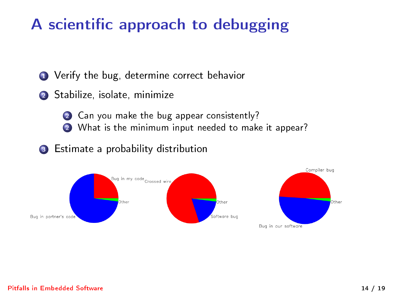# A scientific approach to debugging

**1** Verify the bug, determine correct behavior

- <sup>2</sup> Stabilize, isolate, minimize
	- 2 Can you make the bug appear consistently?
	- 2 What is the minimum input needed to make it appear?
- <sup>3</sup> Estimate a probability distribution

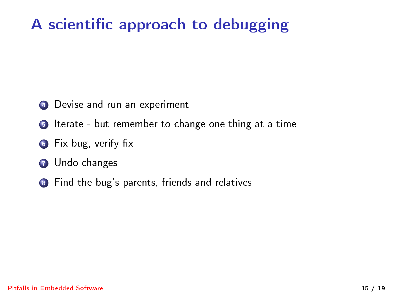# A scientific approach to debugging

- **4** Devise and run an experiment
- **6** Iterate but remember to change one thing at a time
- **6** Fix bug, verify fix
- **Q** Undo changes
- 8 Find the bug's parents, friends and relatives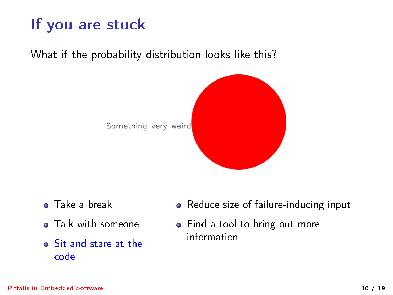# If you are stuck

What if the probability distribution looks like this?



- **o** Take a break
- **•** Talk with someone
- Sit and stare at the code
- Reduce size of failure-inducing input
- Find a tool to bring out more information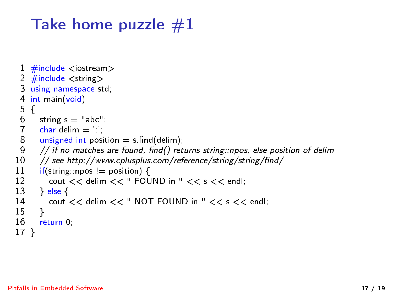# Take home puzzle  $#1$

```
1 \#include \ltiostream>2 \#include \ltstring>3 using namespace std;<br>4 int main(void)
 4 int main(void)<br>5 \t{5}5 {
 6 string s = "abc";<br>7 char delim = ''
 7 char delim = ':';<br>8 unsigned int posi
 8 unsigned int position = s.find(delim);<br>9 // if no matches are found, find() ret
9 // if no matches are found, find() returns string::npos, else position of delim<br>10 // see http://www.cplusplus.com/reference/string/string/find/
10 // see http://www.cplusplus.com/reference/string/string/find/<br>11 if(string::npos != position) {
11 if(string::npos != position) {
12 cout << delim << " FOUND in " << s << endl;<br>13 lelse {
13 } else {<br>14 cout
           14 cout << delim << " NOT FOUND in " << s << endl:
15 }
16 return 0;
```
17 }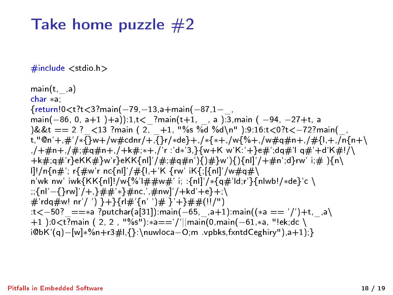## Take home puzzle  $#2$

 $\#$ include  $\lt$ stdio.h  $>$ 

 $main(t,$ , a) char ∗a; {return!0<t?t<3?main(−79,−13,a+main(−87,1−\_, main(-86, 0, a+1)+a)):1,t< ?main(t+1, , a ):3,main ( -94, -27+t, a  $)\&\&t == 2$  ? <13 ?main ( 2, \_+1, "%s %d %d\n" ):9:16:t<0?t<-72?main( t,"@n'+,#'/∗{}w+/w#cdnr/+,{}r/∗de}+,/∗{∗+,/w{%+,/w#q#n+,/#{l,+,/n{n+\ ,/+#n+,/#;#q#n+,/+k#;∗+,/'r :'d∗'3,}{w+K w'K:'+}e#';dq#'l q#'+d'K#!/\ +k#;q#'r}eKK#}w'r}eKK{nl]'/#;#q#n'){)#}w'){){nl]'/+#n';d}rw' i;# ){n\ l]!/n{n#'; r{#w'r nc{nl]'/#{l,+'K {rw' iK{;[{nl]'/w#q#\ n'wk nw' iwk{KK{nl]!/w{%'l##w#' i; :{nl]'/\*{q#'ld;r'}{nlwb!/\*de}'c \ ;;{nl'−{}rw]'/+,}##'∗}#nc,',#nw]'/+kd'+e}+;\  $\#$ 'rda $\#$ w! nr'/ ') }+}{rl $\#$ '{n' ')# }'+}##(!!/")  $t<-50$ ? ==∗a ?putchar(a[31]):main(-65, ,a+1):main((\*a == '/')+t, ,a\ +1 ):0<t?main ( 2, 2 , "%s"):∗a=='/'||main(0,main(−61,∗a, "!ek;dc \ i@bK'(q)−[w]∗%n+r3#l,{}:\nuwloca−O;m .vpbks,fxntdCeghiry"),a+1);}